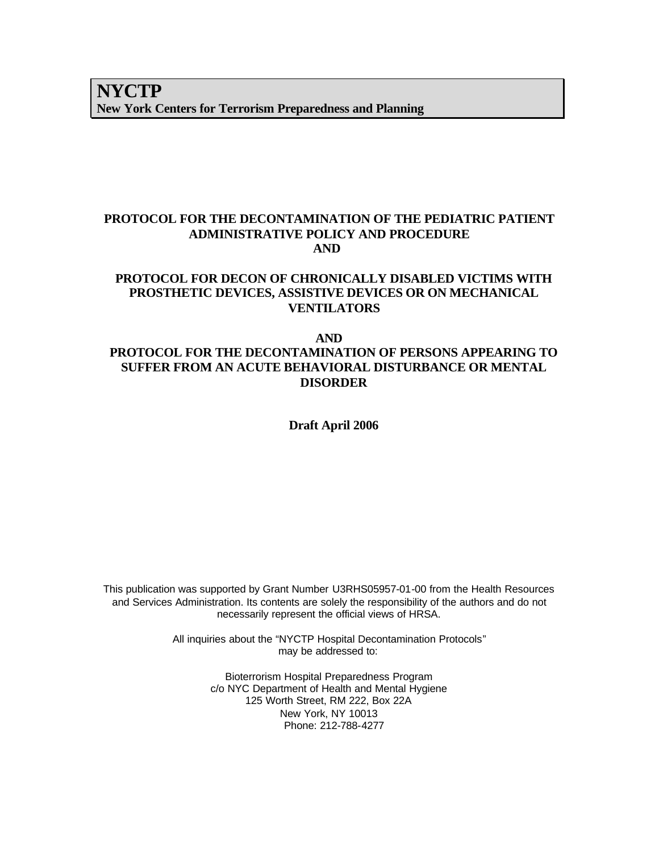### **PROTOCOL FOR THE DECONTAMINATION OF THE PEDIATRIC PATIENT ADMINISTRATIVE POLICY AND PROCEDURE AND**

#### **PROTOCOL FOR DECON OF CHRONICALLY DISABLED VICTIMS WITH PROSTHETIC DEVICES, ASSISTIVE DEVICES OR ON MECHANICAL VENTILATORS**

#### **AND PROTOCOL FOR THE DECONTAMINATION OF PERSONS APPEARING TO SUFFER FROM AN ACUTE BEHAVIORAL DISTURBANCE OR MENTAL DISORDER**

**Draft April 2006**

This publication was supported by Grant Number U3RHS05957-01-00 from the Health Resources and Services Administration. Its contents are solely the responsibility of the authors and do not necessarily represent the official views of HRSA.

> All inquiries about the "NYCTP Hospital Decontamination Protocols" may be addressed to:

> > Bioterrorism Hospital Preparedness Program c/o NYC Department of Health and Mental Hygiene 125 Worth Street, RM 222, Box 22A New York, NY 10013 Phone: 212-788-4277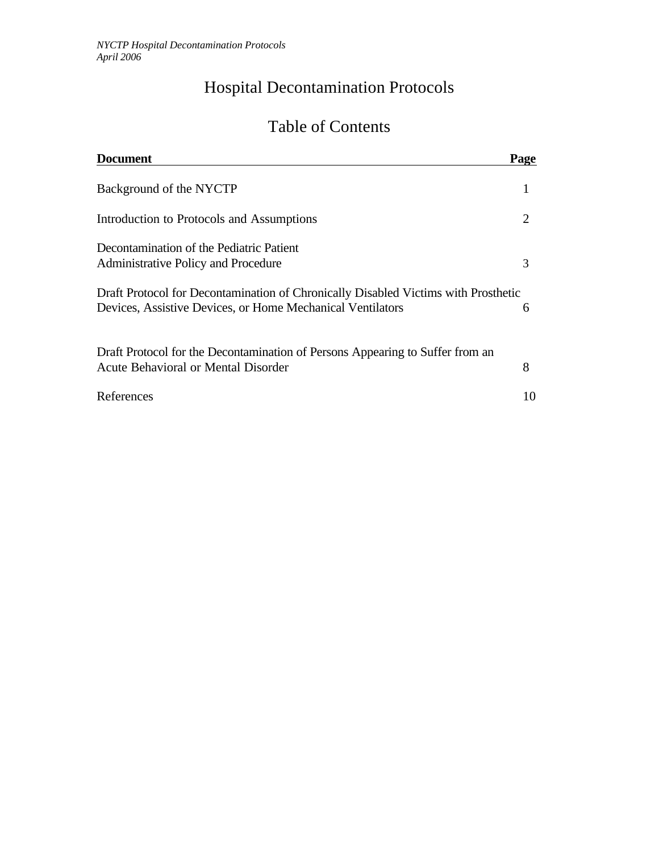# Hospital Decontamination Protocols

## Table of Contents

| <b>Document</b>                                                                                                                                  | Page                  |
|--------------------------------------------------------------------------------------------------------------------------------------------------|-----------------------|
| Background of the NYCTP                                                                                                                          |                       |
| Introduction to Protocols and Assumptions                                                                                                        | $\mathcal{D}_{\cdot}$ |
| Decontamination of the Pediatric Patient<br>Administrative Policy and Procedure                                                                  | 3                     |
| Draft Protocol for Decontamination of Chronically Disabled Victims with Prosthetic<br>Devices, Assistive Devices, or Home Mechanical Ventilators | 6                     |
| Draft Protocol for the Decontamination of Persons Appearing to Suffer from an<br>Acute Behavioral or Mental Disorder                             | 8                     |
| References                                                                                                                                       | 10                    |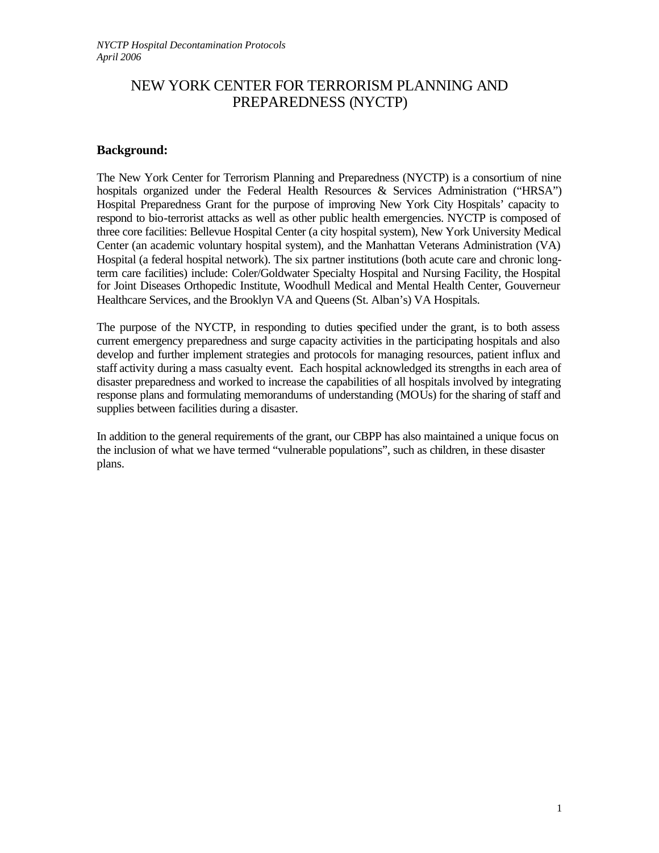## NEW YORK CENTER FOR TERRORISM PLANNING AND PREPAREDNESS (NYCTP)

#### **Background:**

The New York Center for Terrorism Planning and Preparedness (NYCTP) is a consortium of nine hospitals organized under the Federal Health Resources & Services Administration ("HRSA") Hospital Preparedness Grant for the purpose of improving New York City Hospitals' capacity to respond to bio-terrorist attacks as well as other public health emergencies. NYCTP is composed of three core facilities: Bellevue Hospital Center (a city hospital system), New York University Medical Center (an academic voluntary hospital system), and the Manhattan Veterans Administration (VA) Hospital (a federal hospital network). The six partner institutions (both acute care and chronic longterm care facilities) include: Coler/Goldwater Specialty Hospital and Nursing Facility, the Hospital for Joint Diseases Orthopedic Institute, Woodhull Medical and Mental Health Center, Gouverneur Healthcare Services, and the Brooklyn VA and Queens (St. Alban's) VA Hospitals.

The purpose of the NYCTP, in responding to duties specified under the grant, is to both assess current emergency preparedness and surge capacity activities in the participating hospitals and also develop and further implement strategies and protocols for managing resources, patient influx and staff activity during a mass casualty event. Each hospital acknowledged its strengths in each area of disaster preparedness and worked to increase the capabilities of all hospitals involved by integrating response plans and formulating memorandums of understanding (MOUs) for the sharing of staff and supplies between facilities during a disaster.

In addition to the general requirements of the grant, our CBPP has also maintained a unique focus on the inclusion of what we have termed "vulnerable populations", such as children, in these disaster plans.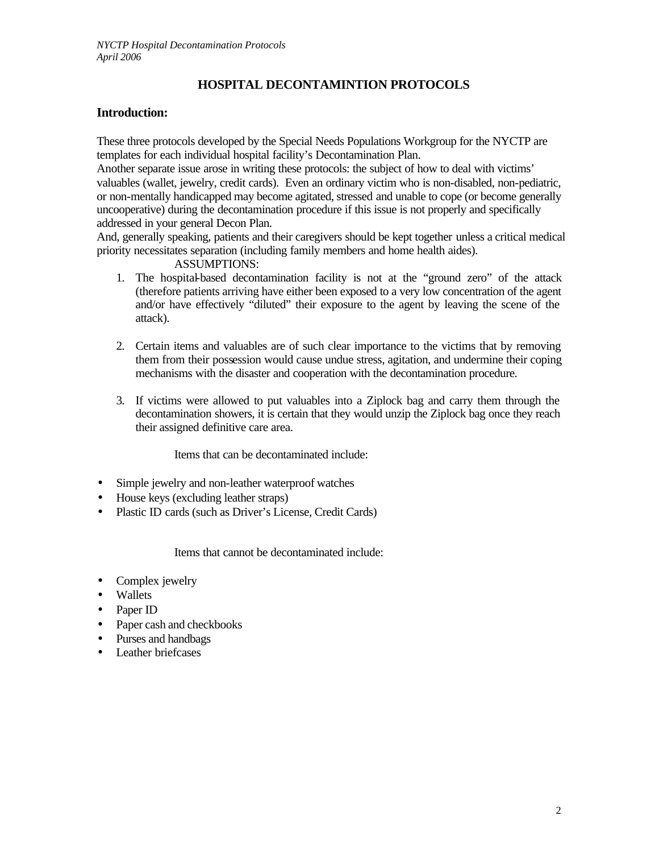## **HOSPITAL DECONTAMINTION PROTOCOLS**

#### **Introduction:**

These three protocols developed by the Special Needs Populations Workgroup for the NYCTP are templates for each individual hospital facility's Decontamination Plan.

Another separate issue arose in writing these protocols: the subject of how to deal with victims' valuables (wallet, jewelry, credit cards). Even an ordinary victim who is non-disabled, non-pediatric, or non-mentally handicapped may become agitated, stressed and unable to cope (or become generally uncooperative) during the decontamination procedure if this issue is not properly and specifically addressed in your general Decon Plan.

And, generally speaking, patients and their caregivers should be kept together unless a critical medical priority necessitates separation (including family members and home health aides).

#### ASSUMPTIONS:

- 1. The hospital-based decontamination facility is not at the "ground zero" of the attack (therefore patients arriving have either been exposed to a very low concentration of the agent and/or have effectively "diluted" their exposure to the agent by leaving the scene of the attack).
- 2. Certain items and valuables are of such clear importance to the victims that by removing them from their possession would cause undue stress, agitation, and undermine their coping mechanisms with the disaster and cooperation with the decontamination procedure.
- 3. If victims were allowed to put valuables into a Ziplock bag and carry them through the decontamination showers, it is certain that they would unzip the Ziplock bag once they reach their assigned definitive care area.

Items that can be decontaminated include:

- Simple jewelry and non-leather waterproof watches
- House keys (excluding leather straps)
- Plastic ID cards (such as Driver's License, Credit Cards)

Items that cannot be decontaminated include:

- Complex jewelry
- Wallets
- Paper ID
- Paper cash and checkbooks
- Purses and handbags
- Leather briefcases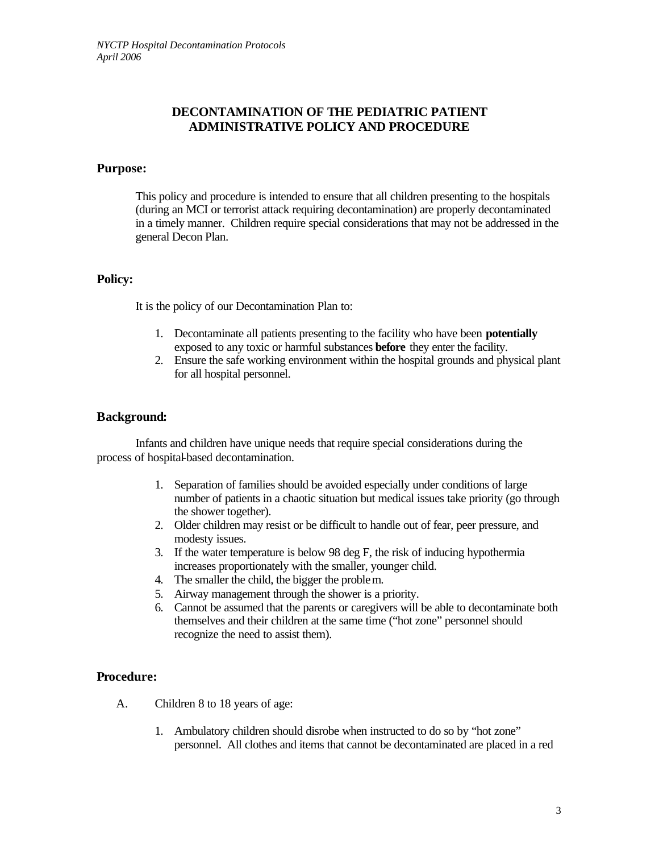#### **DECONTAMINATION OF THE PEDIATRIC PATIENT ADMINISTRATIVE POLICY AND PROCEDURE**

#### **Purpose:**

This policy and procedure is intended to ensure that all children presenting to the hospitals (during an MCI or terrorist attack requiring decontamination) are properly decontaminated in a timely manner. Children require special considerations that may not be addressed in the general Decon Plan.

#### **Policy:**

It is the policy of our Decontamination Plan to:

- 1. Decontaminate all patients presenting to the facility who have been **potentially** exposed to any toxic or harmful substances **before** they enter the facility.
- 2. Ensure the safe working environment within the hospital grounds and physical plant for all hospital personnel.

#### **Background:**

Infants and children have unique needs that require special considerations during the process of hospital-based decontamination.

- 1. Separation of families should be avoided especially under conditions of large number of patients in a chaotic situation but medical issues take priority (go through the shower together).
- 2. Older children may resist or be difficult to handle out of fear, peer pressure, and modesty issues.
- 3. If the water temperature is below 98 deg F, the risk of inducing hypothermia increases proportionately with the smaller, younger child.
- 4. The smaller the child, the bigger the problem.
- 5. Airway management through the shower is a priority.
- 6. Cannot be assumed that the parents or caregivers will be able to decontaminate both themselves and their children at the same time ("hot zone" personnel should recognize the need to assist them).

#### **Procedure:**

- A. Children 8 to 18 years of age:
	- 1. Ambulatory children should disrobe when instructed to do so by "hot zone" personnel. All clothes and items that cannot be decontaminated are placed in a red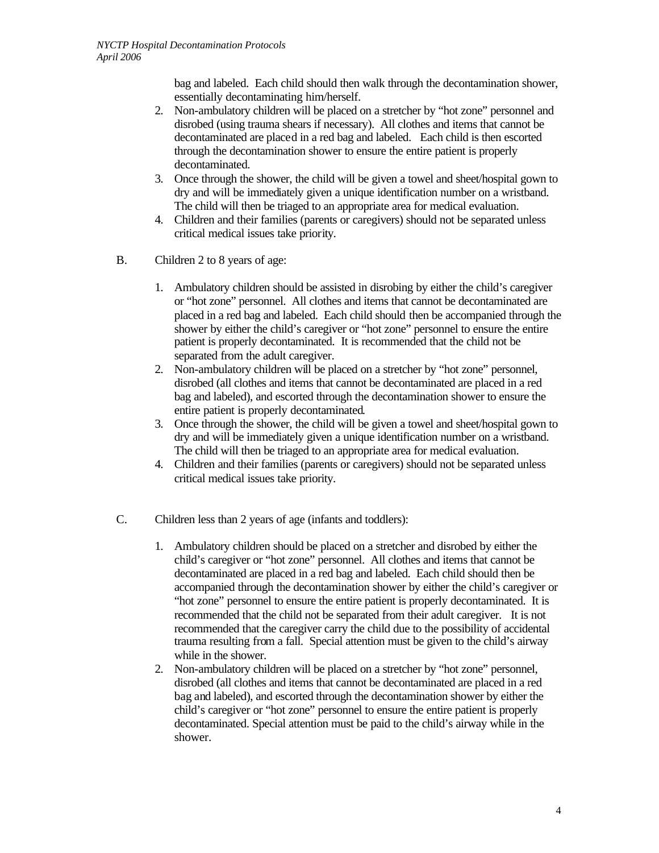bag and labeled. Each child should then walk through the decontamination shower, essentially decontaminating him/herself.

- 2. Non-ambulatory children will be placed on a stretcher by "hot zone" personnel and disrobed (using trauma shears if necessary). All clothes and items that cannot be decontaminated are placed in a red bag and labeled. Each child is then escorted through the decontamination shower to ensure the entire patient is properly decontaminated.
- 3. Once through the shower, the child will be given a towel and sheet/hospital gown to dry and will be immediately given a unique identification number on a wristband. The child will then be triaged to an appropriate area for medical evaluation.
- 4. Children and their families (parents or caregivers) should not be separated unless critical medical issues take priority.
- B. Children 2 to 8 years of age:
	- 1. Ambulatory children should be assisted in disrobing by either the child's caregiver or "hot zone" personnel. All clothes and items that cannot be decontaminated are placed in a red bag and labeled. Each child should then be accompanied through the shower by either the child's caregiver or "hot zone" personnel to ensure the entire patient is properly decontaminated. It is recommended that the child not be separated from the adult caregiver.
	- 2. Non-ambulatory children will be placed on a stretcher by "hot zone" personnel, disrobed (all clothes and items that cannot be decontaminated are placed in a red bag and labeled), and escorted through the decontamination shower to ensure the entire patient is properly decontaminated.
	- 3. Once through the shower, the child will be given a towel and sheet/hospital gown to dry and will be immediately given a unique identification number on a wristband. The child will then be triaged to an appropriate area for medical evaluation.
	- 4. Children and their families (parents or caregivers) should not be separated unless critical medical issues take priority.
- C. Children less than 2 years of age (infants and toddlers):
	- 1. Ambulatory children should be placed on a stretcher and disrobed by either the child's caregiver or "hot zone" personnel. All clothes and items that cannot be decontaminated are placed in a red bag and labeled. Each child should then be accompanied through the decontamination shower by either the child's caregiver or "hot zone" personnel to ensure the entire patient is properly decontaminated. It is recommended that the child not be separated from their adult caregiver. It is not recommended that the caregiver carry the child due to the possibility of accidental trauma resulting from a fall. Special attention must be given to the child's airway while in the shower.
	- 2. Non-ambulatory children will be placed on a stretcher by "hot zone" personnel, disrobed (all clothes and items that cannot be decontaminated are placed in a red bag and labeled), and escorted through the decontamination shower by either the child's caregiver or "hot zone" personnel to ensure the entire patient is properly decontaminated. Special attention must be paid to the child's airway while in the shower.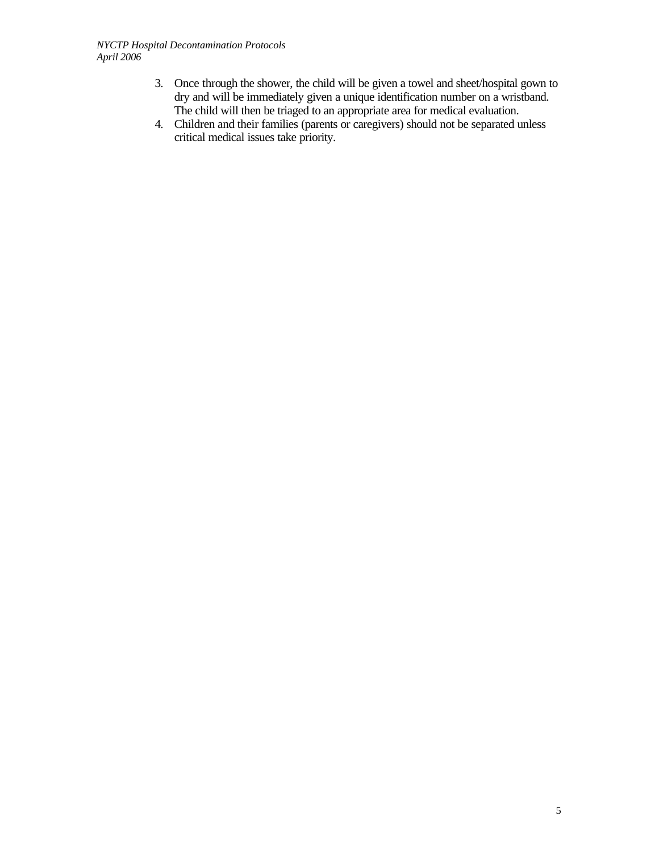- 3. Once through the shower, the child will be given a towel and sheet/hospital gown to dry and will be immediately given a unique identification number on a wristband. The child will then be triaged to an appropriate area for medical evaluation.
- 4. Children and their families (parents or caregivers) should not be separated unless critical medical issues take priority.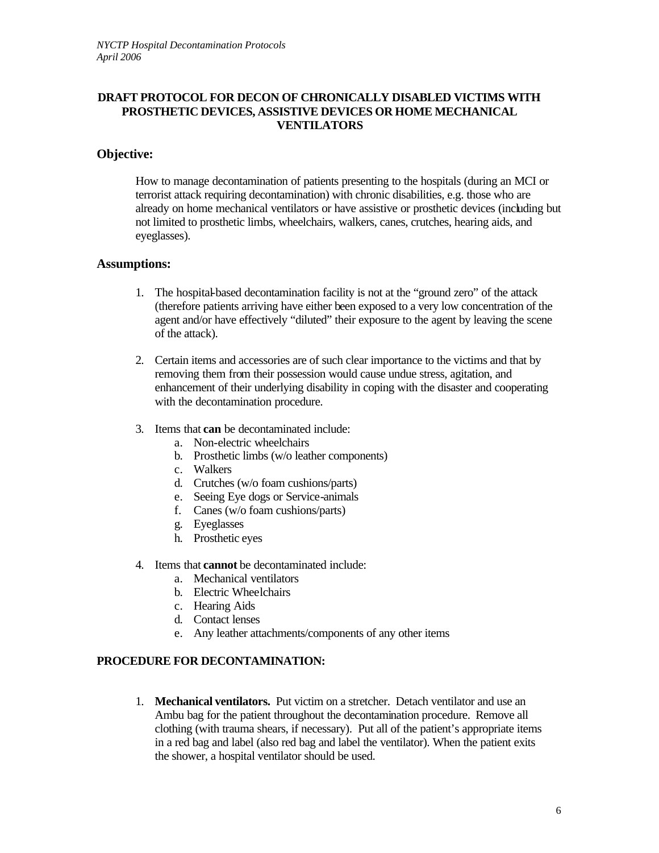#### **DRAFT PROTOCOL FOR DECON OF CHRONICALLY DISABLED VICTIMS WITH PROSTHETIC DEVICES, ASSISTIVE DEVICES OR HOME MECHANICAL VENTILATORS**

#### **Objective:**

How to manage decontamination of patients presenting to the hospitals (during an MCI or terrorist attack requiring decontamination) with chronic disabilities, e.g. those who are already on home mechanical ventilators or have assistive or prosthetic devices (including but not limited to prosthetic limbs, wheelchairs, walkers, canes, crutches, hearing aids, and eyeglasses).

#### **Assumptions:**

- 1. The hospital-based decontamination facility is not at the "ground zero" of the attack (therefore patients arriving have either been exposed to a very low concentration of the agent and/or have effectively "diluted" their exposure to the agent by leaving the scene of the attack).
- 2. Certain items and accessories are of such clear importance to the victims and that by removing them from their possession would cause undue stress, agitation, and enhancement of their underlying disability in coping with the disaster and cooperating with the decontamination procedure.
- 3. Items that **can** be decontaminated include:
	- a. Non-electric wheelchairs
	- b. Prosthetic limbs (w/o leather components)
	- c. Walkers
	- d. Crutches (w/o foam cushions/parts)
	- e. Seeing Eye dogs or Service-animals
	- f. Canes (w/o foam cushions/parts)
	- g. Eyeglasses
	- h. Prosthetic eyes
- 4. Items that **cannot** be decontaminated include:
	- a. Mechanical ventilators
	- b. Electric Wheelchairs
	- c. Hearing Aids
	- d. Contact lenses
	- e. Any leather attachments/components of any other items

#### **PROCEDURE FOR DECONTAMINATION:**

1. **Mechanical ventilators.** Put victim on a stretcher. Detach ventilator and use an Ambu bag for the patient throughout the decontamination procedure. Remove all clothing (with trauma shears, if necessary). Put all of the patient's appropriate items in a red bag and label (also red bag and label the ventilator). When the patient exits the shower, a hospital ventilator should be used.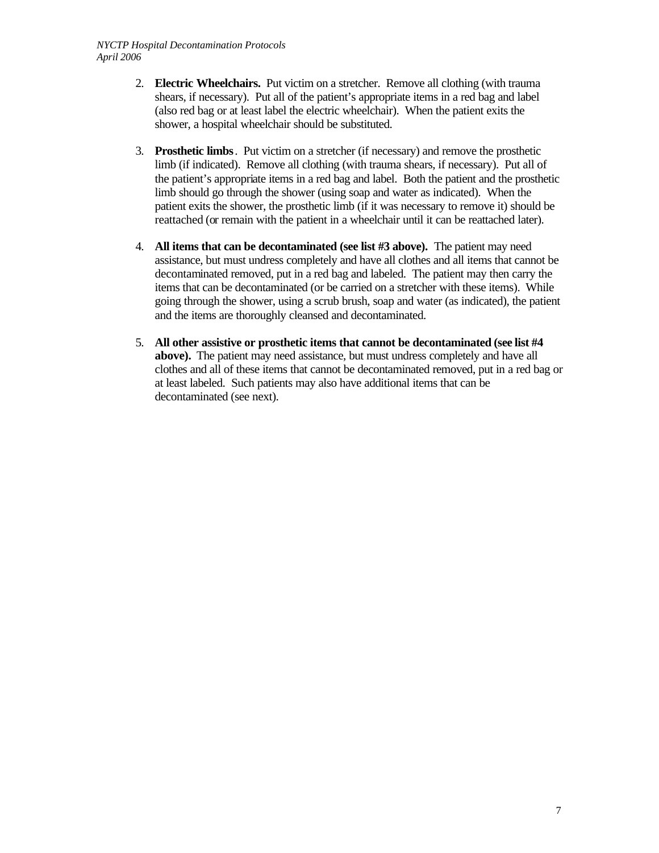- 2. **Electric Wheelchairs.** Put victim on a stretcher. Remove all clothing (with trauma shears, if necessary). Put all of the patient's appropriate items in a red bag and label (also red bag or at least label the electric wheelchair). When the patient exits the shower, a hospital wheelchair should be substituted.
- 3. **Prosthetic limbs**. Put victim on a stretcher (if necessary) and remove the prosthetic limb (if indicated). Remove all clothing (with trauma shears, if necessary). Put all of the patient's appropriate items in a red bag and label. Both the patient and the prosthetic limb should go through the shower (using soap and water as indicated). When the patient exits the shower, the prosthetic limb (if it was necessary to remove it) should be reattached (or remain with the patient in a wheelchair until it can be reattached later).
- 4. **All items that can be decontaminated (see list #3 above).** The patient may need assistance, but must undress completely and have all clothes and all items that cannot be decontaminated removed, put in a red bag and labeled. The patient may then carry the items that can be decontaminated (or be carried on a stretcher with these items). While going through the shower, using a scrub brush, soap and water (as indicated), the patient and the items are thoroughly cleansed and decontaminated.
- 5. **All other assistive or prosthetic items that cannot be decontaminated (see list #4 above).** The patient may need assistance, but must undress completely and have all clothes and all of these items that cannot be decontaminated removed, put in a red bag or at least labeled. Such patients may also have additional items that can be decontaminated (see next).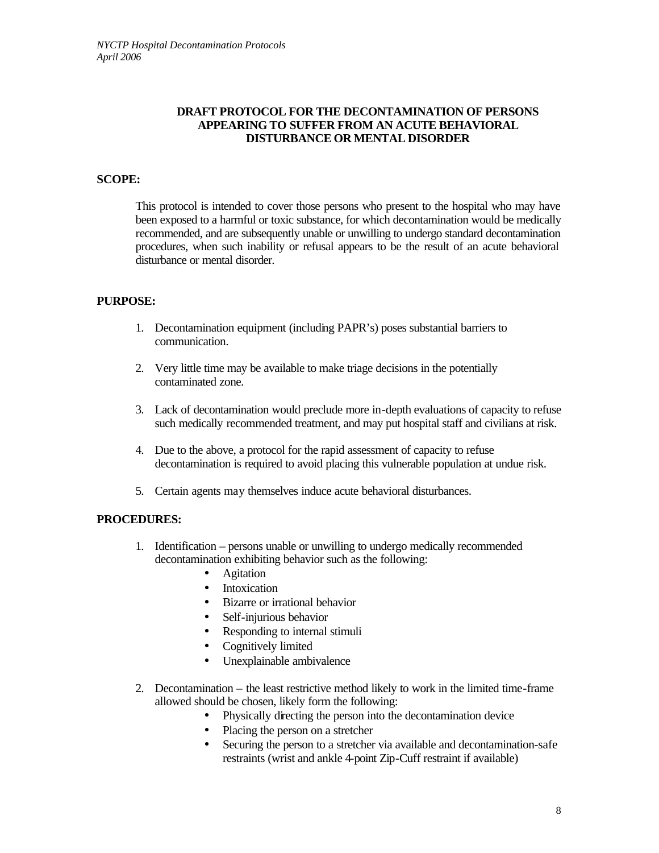#### **DRAFT PROTOCOL FOR THE DECONTAMINATION OF PERSONS APPEARING TO SUFFER FROM AN ACUTE BEHAVIORAL DISTURBANCE OR MENTAL DISORDER**

#### **SCOPE:**

This protocol is intended to cover those persons who present to the hospital who may have been exposed to a harmful or toxic substance, for which decontamination would be medically recommended, and are subsequently unable or unwilling to undergo standard decontamination procedures, when such inability or refusal appears to be the result of an acute behavioral disturbance or mental disorder.

#### **PURPOSE:**

- 1. Decontamination equipment (including PAPR's) poses substantial barriers to communication.
- 2. Very little time may be available to make triage decisions in the potentially contaminated zone.
- 3. Lack of decontamination would preclude more in-depth evaluations of capacity to refuse such medically recommended treatment, and may put hospital staff and civilians at risk.
- 4. Due to the above, a protocol for the rapid assessment of capacity to refuse decontamination is required to avoid placing this vulnerable population at undue risk.
- 5. Certain agents may themselves induce acute behavioral disturbances.

#### **PROCEDURES:**

- 1. Identification persons unable or unwilling to undergo medically recommended decontamination exhibiting behavior such as the following:
	- Agitation
	- Intoxication
	- Bizarre or irrational behavior
	- Self-injurious behavior
	- Responding to internal stimuli
	- Cognitively limited
	- Unexplainable ambivalence
- 2. Decontamination the least restrictive method likely to work in the limited time-frame allowed should be chosen, likely form the following:
	- Physically directing the person into the decontamination device
	- Placing the person on a stretcher
	- Securing the person to a stretcher via available and decontamination-safe restraints (wrist and ankle 4-point Zip-Cuff restraint if available)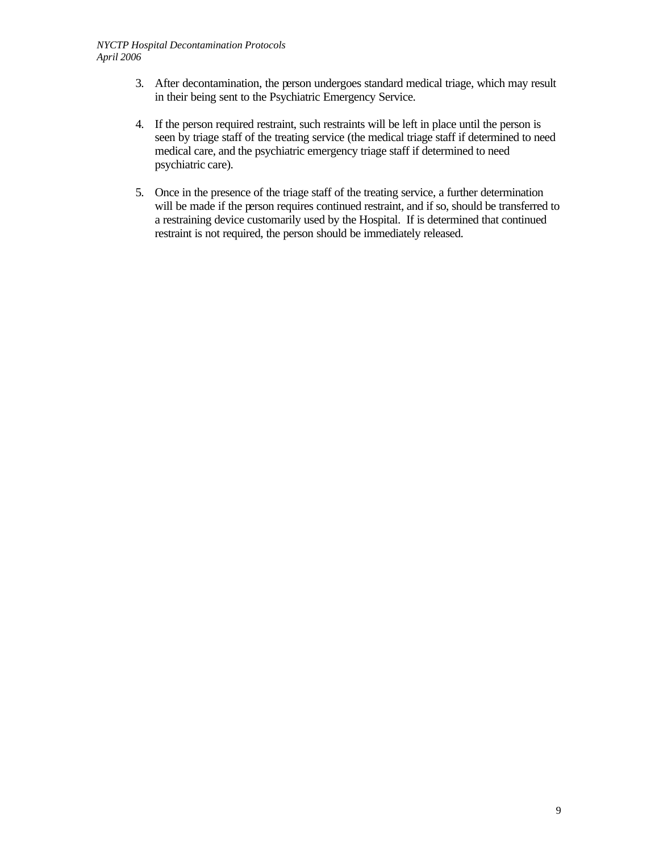- 3. After decontamination, the person undergoes standard medical triage, which may result in their being sent to the Psychiatric Emergency Service.
- 4. If the person required restraint, such restraints will be left in place until the person is seen by triage staff of the treating service (the medical triage staff if determined to need medical care, and the psychiatric emergency triage staff if determined to need psychiatric care).
- 5. Once in the presence of the triage staff of the treating service, a further determination will be made if the person requires continued restraint, and if so, should be transferred to a restraining device customarily used by the Hospital. If is determined that continued restraint is not required, the person should be immediately released.